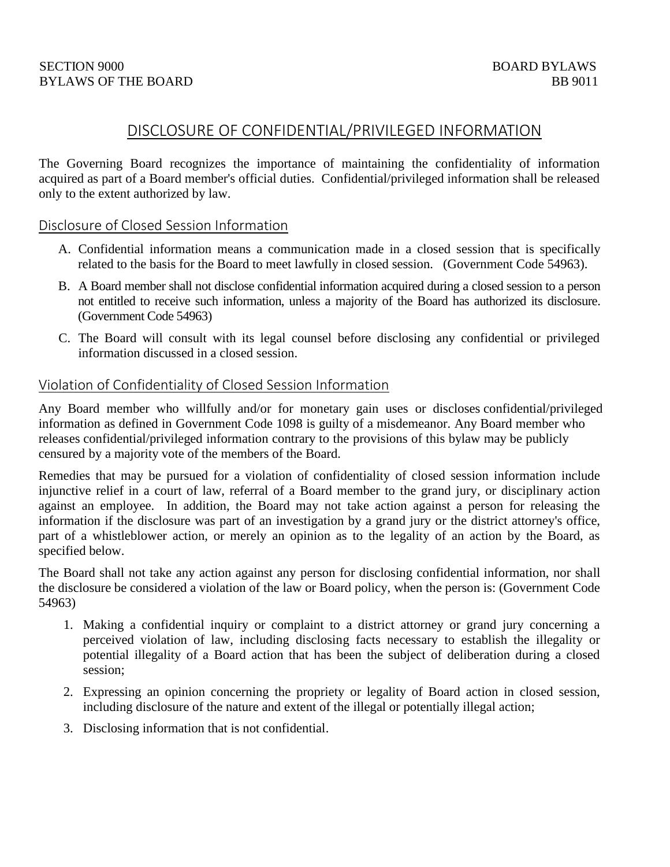# DISCLOSURE OF CONFIDENTIAL/PRIVILEGED INFORMATION

The Governing Board recognizes the importance of maintaining the confidentiality of information acquired as part of a Board member's official duties. Confidential/privileged information shall be released only to the extent authorized by law.

# Disclosure of Closed Session Information

- A. Confidential information means a communication made in a closed session that is specifically related to the basis for the Board to meet lawfully in closed session. (Government Code 54963).
- B. A Board member shall not disclose confidential information acquired during a closed session to a person not entitled to receive such information, unless a majority of the Board has authorized its disclosure. (Government Code 54963)
- C. The Board will consult with its legal counsel before disclosing any confidential or privileged information discussed in a closed session.

# Violation of Confidentiality of Closed Session Information

Any Board member who willfully and/or for monetary gain uses or discloses confidential/privileged information as defined in Government Code 1098 is guilty of a misdemeanor. Any Board member who releases confidential/privileged information contrary to the provisions of this bylaw may be publicly censured by a majority vote of the members of the Board.

Remedies that may be pursued for a violation of confidentiality of closed session information include injunctive relief in a court of law, referral of a Board member to the grand jury, or disciplinary action against an employee. In addition, the Board may not take action against a person for releasing the information if the disclosure was part of an investigation by a grand jury or the district attorney's office, part of a whistleblower action, or merely an opinion as to the legality of an action by the Board, as specified below.

The Board shall not take any action against any person for disclosing confidential information, nor shall the disclosure be considered a violation of the law or Board policy, when the person is: (Government Code 54963)

- 1. Making a confidential inquiry or complaint to a district attorney or grand jury concerning a perceived violation of law, including disclosing facts necessary to establish the illegality or potential illegality of a Board action that has been the subject of deliberation during a closed session;
- 2. Expressing an opinion concerning the propriety or legality of Board action in closed session, including disclosure of the nature and extent of the illegal or potentially illegal action;
- 3. Disclosing information that is not confidential.